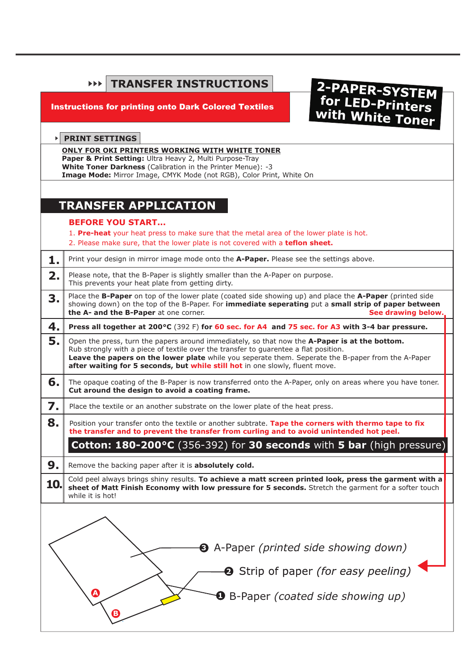|                                                                                                                                                                                                                                                   | <b>TRANSFER INSTRUCTIONS</b><br>EEE.                                                                                                                                                                                                                                                                                                                                        |
|---------------------------------------------------------------------------------------------------------------------------------------------------------------------------------------------------------------------------------------------------|-----------------------------------------------------------------------------------------------------------------------------------------------------------------------------------------------------------------------------------------------------------------------------------------------------------------------------------------------------------------------------|
|                                                                                                                                                                                                                                                   | 2-PAPER-SYSTEM<br>for LED-Printers<br>with White Toner<br><b>Instructions for printing onto Dark Colored Textiles</b>                                                                                                                                                                                                                                                       |
|                                                                                                                                                                                                                                                   | <b>PRINT SETTINGS</b>                                                                                                                                                                                                                                                                                                                                                       |
| ONLY FOR OKI PRINTERS WORKING WITH WHITE TONER<br>Paper & Print Setting: Ultra Heavy 2, Multi Purpose-Tray<br>White Toner Darkness (Calibration in the Printer Menue): -3<br>Image Mode: Mirror Image, CMYK Mode (not RGB), Color Print, White On |                                                                                                                                                                                                                                                                                                                                                                             |
|                                                                                                                                                                                                                                                   | <b>TRANSFER APPLICATION</b>                                                                                                                                                                                                                                                                                                                                                 |
|                                                                                                                                                                                                                                                   | <b>BEFORE YOU START</b><br>1. Pre-heat your heat press to make sure that the metal area of the lower plate is hot.<br>2. Please make sure, that the lower plate is not covered with a teflon sheet.                                                                                                                                                                         |
| 1.                                                                                                                                                                                                                                                | Print your design in mirror image mode onto the A-Paper. Please see the settings above.                                                                                                                                                                                                                                                                                     |
| 2.                                                                                                                                                                                                                                                | Please note, that the B-Paper is slightly smaller than the A-Paper on purpose.<br>This prevents your heat plate from getting dirty.                                                                                                                                                                                                                                         |
| 3.                                                                                                                                                                                                                                                | Place the B-Paper on top of the lower plate (coated side showing up) and place the A-Paper (printed side<br>showing down) on the top of the B-Paper. For immediate seperating put a small strip of paper between<br>the A- and the B-Paper at one corner.<br>See drawing below.                                                                                             |
| 4.                                                                                                                                                                                                                                                | Press all together at 200°C (392 F) for 60 sec. for A4 and 75 sec. for A3 with 3-4 bar pressure.                                                                                                                                                                                                                                                                            |
| 5.                                                                                                                                                                                                                                                | Open the press, turn the papers around immediately, so that now the A-Paper is at the bottom.<br>Rub strongly with a piece of textile over the transfer to guarentee a flat position.<br>Leave the papers on the lower plate while you seperate them. Seperate the B-paper from the A-Paper<br>after waiting for 5 seconds, but while still hot in one slowly, fluent move. |
| 6.                                                                                                                                                                                                                                                | The opaque coating of the B-Paper is now transferred onto the A-Paper, only on areas where you have toner.<br>Cut around the design to avoid a coating frame.                                                                                                                                                                                                               |
| 7.                                                                                                                                                                                                                                                | Place the textile or an another substrate on the lower plate of the heat press.                                                                                                                                                                                                                                                                                             |
| 8                                                                                                                                                                                                                                                 | Position your transfer onto the textile or another subtrate. Tape the corners with thermo tape to fix<br>the transfer and to prevent the transfer from curling and to avoid unintended hot peel.                                                                                                                                                                            |
|                                                                                                                                                                                                                                                   | Cotton: 180-200°C (356-392) for 30 seconds with 5 bar (high pressure)                                                                                                                                                                                                                                                                                                       |
| 9.                                                                                                                                                                                                                                                | Remove the backing paper after it is absolutely cold.                                                                                                                                                                                                                                                                                                                       |
| 10.                                                                                                                                                                                                                                               | Cold peel always brings shiny results. To achieve a matt screen printed look, press the garment with a<br>sheet of Matt Finish Economy with low pressure for 5 seconds. Stretch the garment for a softer touch<br>while it is hot!                                                                                                                                          |
|                                                                                                                                                                                                                                                   | <b>3</b> A-Paper (printed side showing down)                                                                                                                                                                                                                                                                                                                                |
|                                                                                                                                                                                                                                                   |                                                                                                                                                                                                                                                                                                                                                                             |
|                                                                                                                                                                                                                                                   | <b>2</b> Strip of paper (for easy peeling)                                                                                                                                                                                                                                                                                                                                  |
|                                                                                                                                                                                                                                                   | $\boldsymbol{\Omega}$<br><b>O</b> B-Paper (coated side showing up)                                                                                                                                                                                                                                                                                                          |